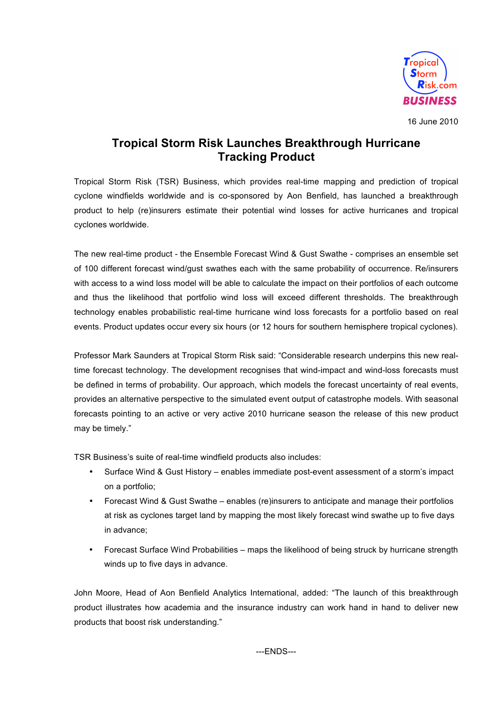

16 June 2010

# **Tropical Storm Risk Launches Breakthrough Hurricane Tracking Product**

Tropical Storm Risk (TSR) Business, which provides real-time mapping and prediction of tropical cyclone windfields worldwide and is co-sponsored by Aon Benfield, has launched a breakthrough product to help (re)insurers estimate their potential wind losses for active hurricanes and tropical cyclones worldwide.

The new real-time product - the Ensemble Forecast Wind & Gust Swathe - comprises an ensemble set of 100 different forecast wind/gust swathes each with the same probability of occurrence. Re/insurers with access to a wind loss model will be able to calculate the impact on their portfolios of each outcome and thus the likelihood that portfolio wind loss will exceed different thresholds. The breakthrough technology enables probabilistic real-time hurricane wind loss forecasts for a portfolio based on real events. Product updates occur every six hours (or 12 hours for southern hemisphere tropical cyclones).

Professor Mark Saunders at Tropical Storm Risk said: "Considerable research underpins this new realtime forecast technology. The development recognises that wind-impact and wind-loss forecasts must be defined in terms of probability. Our approach, which models the forecast uncertainty of real events, provides an alternative perspective to the simulated event output of catastrophe models. With seasonal forecasts pointing to an active or very active 2010 hurricane season the release of this new product may be timely."

TSR Business's suite of real-time windfield products also includes:

- Surface Wind & Gust History enables immediate post-event assessment of a storm's impact on a portfolio;
- Forecast Wind & Gust Swathe enables (re)insurers to anticipate and manage their portfolios at risk as cyclones target land by mapping the most likely forecast wind swathe up to five days in advance;
- Forecast Surface Wind Probabilities maps the likelihood of being struck by hurricane strength winds up to five days in advance.

John Moore, Head of Aon Benfield Analytics International, added: "The launch of this breakthrough product illustrates how academia and the insurance industry can work hand in hand to deliver new products that boost risk understanding."